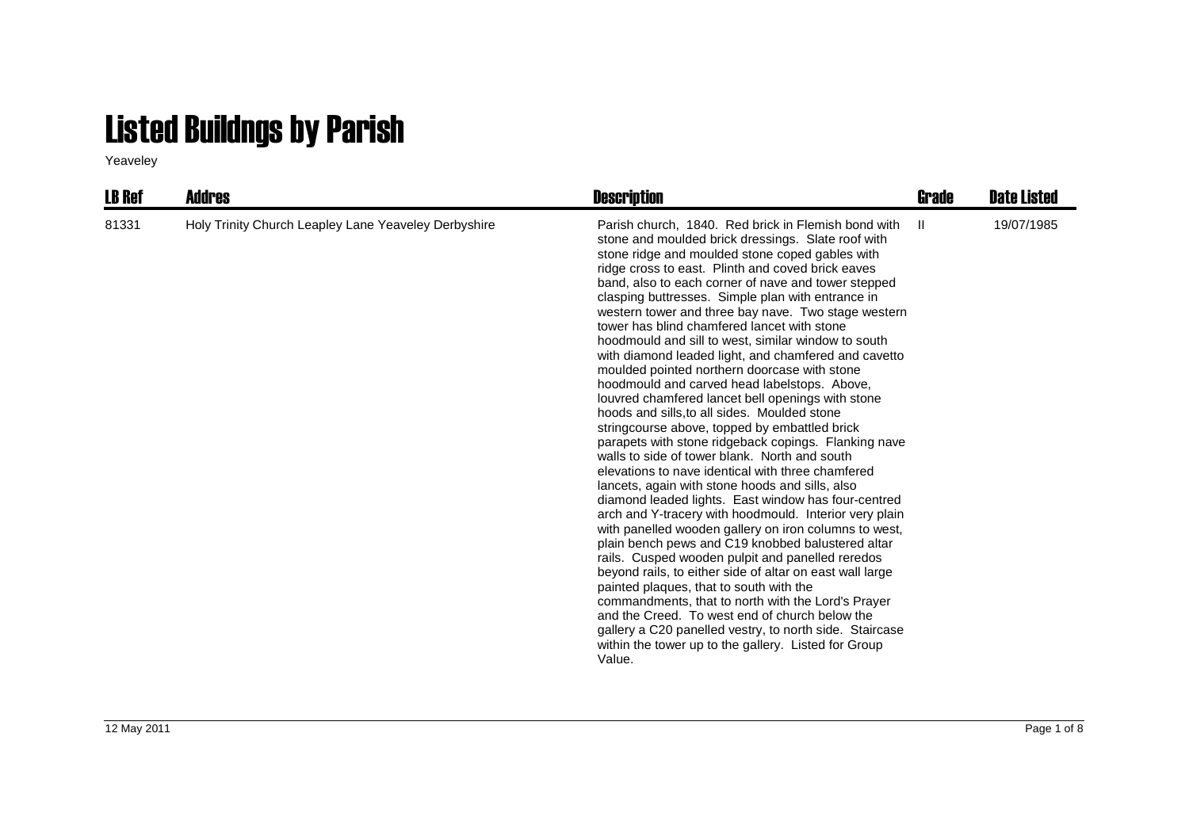## Listed Buildngs by Parish

Yeaveley

| <b>LB Ref</b> | <b>Addres</b>                                        | <b>Description</b>                                                                                                                                                                                                                                                                                                                                                                                                                                                                                                                                                                                                                                                                                                                                                                                                                                                                                                                                                                                                                                                                                                                                                                                                                                                                                                                                                                                                                                                                                                                                                                                                                                       | Grade         | <b>Date Listed</b> |
|---------------|------------------------------------------------------|----------------------------------------------------------------------------------------------------------------------------------------------------------------------------------------------------------------------------------------------------------------------------------------------------------------------------------------------------------------------------------------------------------------------------------------------------------------------------------------------------------------------------------------------------------------------------------------------------------------------------------------------------------------------------------------------------------------------------------------------------------------------------------------------------------------------------------------------------------------------------------------------------------------------------------------------------------------------------------------------------------------------------------------------------------------------------------------------------------------------------------------------------------------------------------------------------------------------------------------------------------------------------------------------------------------------------------------------------------------------------------------------------------------------------------------------------------------------------------------------------------------------------------------------------------------------------------------------------------------------------------------------------------|---------------|--------------------|
| 81331         | Holy Trinity Church Leapley Lane Yeaveley Derbyshire | Parish church, 1840. Red brick in Flemish bond with<br>stone and moulded brick dressings. Slate roof with<br>stone ridge and moulded stone coped gables with<br>ridge cross to east. Plinth and coved brick eaves<br>band, also to each corner of nave and tower stepped<br>clasping buttresses. Simple plan with entrance in<br>western tower and three bay nave. Two stage western<br>tower has blind chamfered lancet with stone<br>hoodmould and sill to west, similar window to south<br>with diamond leaded light, and chamfered and cavetto<br>moulded pointed northern doorcase with stone<br>hoodmould and carved head labelstops. Above,<br>louvred chamfered lancet bell openings with stone<br>hoods and sills to all sides. Moulded stone<br>string course above, topped by embattled brick<br>parapets with stone ridgeback copings. Flanking nave<br>walls to side of tower blank. North and south<br>elevations to nave identical with three chamfered<br>lancets, again with stone hoods and sills, also<br>diamond leaded lights. East window has four-centred<br>arch and Y-tracery with hoodmould. Interior very plain<br>with panelled wooden gallery on iron columns to west,<br>plain bench pews and C19 knobbed balustered altar<br>rails. Cusped wooden pulpit and panelled reredos<br>beyond rails, to either side of altar on east wall large<br>painted plaques, that to south with the<br>commandments, that to north with the Lord's Prayer<br>and the Creed. To west end of church below the<br>gallery a C20 panelled vestry, to north side. Staircase<br>within the tower up to the gallery. Listed for Group<br>Value. | $\mathbf{II}$ | 19/07/1985         |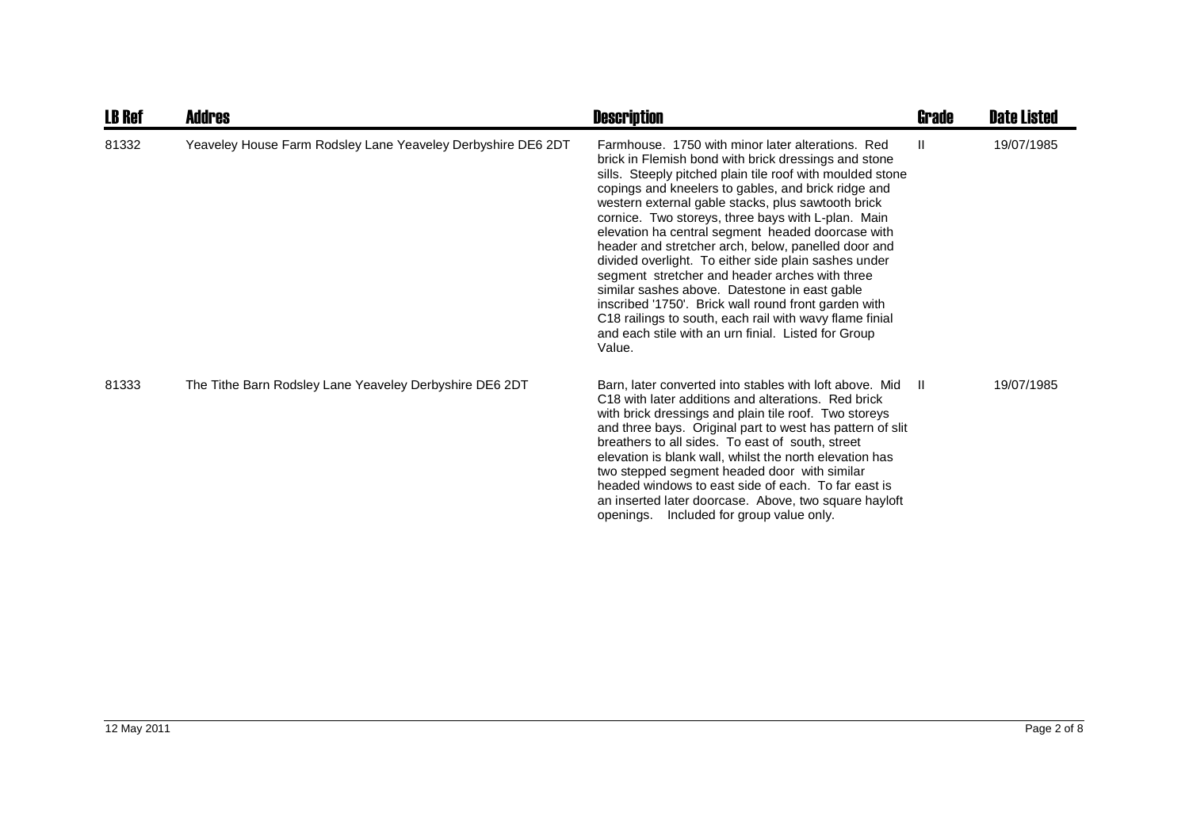| <b>LB Ref</b> | <b>Addres</b>                                                | <b>Description</b>                                                                                                                                                                                                                                                                                                                                                                                                                                                                                                                                                                                                                                                                                                                                                                                   | <b>Grade</b> | <b>Date Listed</b> |
|---------------|--------------------------------------------------------------|------------------------------------------------------------------------------------------------------------------------------------------------------------------------------------------------------------------------------------------------------------------------------------------------------------------------------------------------------------------------------------------------------------------------------------------------------------------------------------------------------------------------------------------------------------------------------------------------------------------------------------------------------------------------------------------------------------------------------------------------------------------------------------------------------|--------------|--------------------|
| 81332         | Yeaveley House Farm Rodsley Lane Yeaveley Derbyshire DE6 2DT | Farmhouse, 1750 with minor later alterations. Red<br>brick in Flemish bond with brick dressings and stone<br>sills. Steeply pitched plain tile roof with moulded stone<br>copings and kneelers to gables, and brick ridge and<br>western external gable stacks, plus sawtooth brick<br>cornice. Two storeys, three bays with L-plan. Main<br>elevation ha central segment headed doorcase with<br>header and stretcher arch, below, panelled door and<br>divided overlight. To either side plain sashes under<br>segment stretcher and header arches with three<br>similar sashes above. Datestone in east gable<br>inscribed '1750'. Brick wall round front garden with<br>C18 railings to south, each rail with wavy flame finial<br>and each stile with an urn finial. Listed for Group<br>Value. | $\mathbf{H}$ | 19/07/1985         |
| 81333         | The Tithe Barn Rodsley Lane Yeaveley Derbyshire DE6 2DT      | Barn, later converted into stables with loft above. Mid<br>C <sub>18</sub> with later additions and alterations. Red brick<br>with brick dressings and plain tile roof. Two storeys<br>and three bays. Original part to west has pattern of slit<br>breathers to all sides. To east of south, street<br>elevation is blank wall, whilst the north elevation has<br>two stepped segment headed door with similar<br>headed windows to east side of each. To far east is<br>an inserted later doorcase. Above, two square hayloft<br>openings. Included for group value only.                                                                                                                                                                                                                          | - 11         | 19/07/1985         |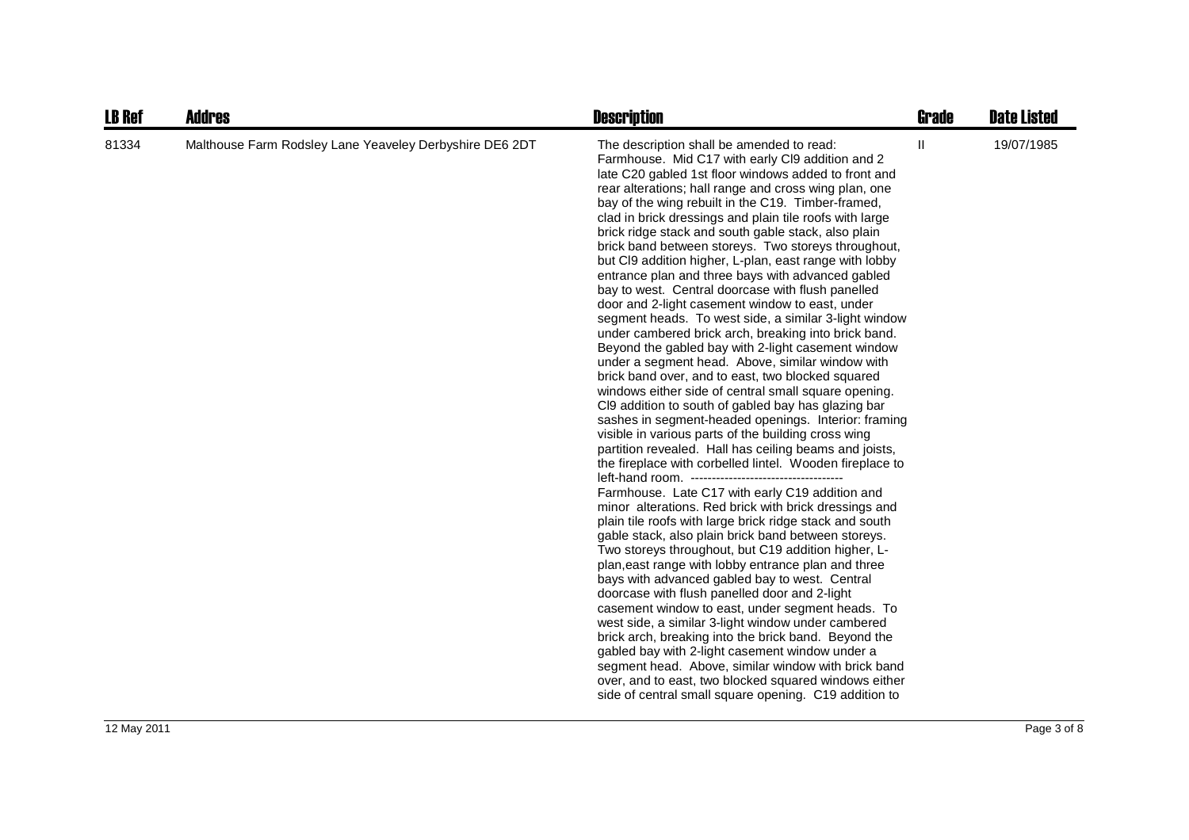| <b>LB Ref</b> | <b>Addres</b>                                           | <b>Description</b>                                                                                                                                                                                                                                                                                                                                                                                                                                                                                                                                                                                                                                                                                                                                                                                                                                                                                                                                                                                                                                                                                                                                                                                                                                                                                                                                                                                                                                                                                                                                                                                                                                                                                                                                                                                                                                                                                                                                                                                                                                                                                                                                    | Grade         | <b>Date Listed</b> |
|---------------|---------------------------------------------------------|-------------------------------------------------------------------------------------------------------------------------------------------------------------------------------------------------------------------------------------------------------------------------------------------------------------------------------------------------------------------------------------------------------------------------------------------------------------------------------------------------------------------------------------------------------------------------------------------------------------------------------------------------------------------------------------------------------------------------------------------------------------------------------------------------------------------------------------------------------------------------------------------------------------------------------------------------------------------------------------------------------------------------------------------------------------------------------------------------------------------------------------------------------------------------------------------------------------------------------------------------------------------------------------------------------------------------------------------------------------------------------------------------------------------------------------------------------------------------------------------------------------------------------------------------------------------------------------------------------------------------------------------------------------------------------------------------------------------------------------------------------------------------------------------------------------------------------------------------------------------------------------------------------------------------------------------------------------------------------------------------------------------------------------------------------------------------------------------------------------------------------------------------------|---------------|--------------------|
| 81334         | Malthouse Farm Rodsley Lane Yeaveley Derbyshire DE6 2DT | The description shall be amended to read:<br>Farmhouse. Mid C17 with early Cl9 addition and 2<br>late C20 gabled 1st floor windows added to front and<br>rear alterations; hall range and cross wing plan, one<br>bay of the wing rebuilt in the C19. Timber-framed,<br>clad in brick dressings and plain tile roofs with large<br>brick ridge stack and south gable stack, also plain<br>brick band between storeys. Two storeys throughout,<br>but CI9 addition higher, L-plan, east range with lobby<br>entrance plan and three bays with advanced gabled<br>bay to west. Central doorcase with flush panelled<br>door and 2-light casement window to east, under<br>segment heads. To west side, a similar 3-light window<br>under cambered brick arch, breaking into brick band.<br>Beyond the gabled bay with 2-light casement window<br>under a segment head. Above, similar window with<br>brick band over, and to east, two blocked squared<br>windows either side of central small square opening.<br>CI9 addition to south of gabled bay has glazing bar<br>sashes in segment-headed openings. Interior: framing<br>visible in various parts of the building cross wing<br>partition revealed. Hall has ceiling beams and joists,<br>the fireplace with corbelled lintel. Wooden fireplace to<br>Farmhouse. Late C17 with early C19 addition and<br>minor alterations. Red brick with brick dressings and<br>plain tile roofs with large brick ridge stack and south<br>gable stack, also plain brick band between storeys.<br>Two storeys throughout, but C19 addition higher, L-<br>plan, east range with lobby entrance plan and three<br>bays with advanced gabled bay to west. Central<br>doorcase with flush panelled door and 2-light<br>casement window to east, under segment heads. To<br>west side, a similar 3-light window under cambered<br>brick arch, breaking into the brick band. Beyond the<br>gabled bay with 2-light casement window under a<br>segment head. Above, similar window with brick band<br>over, and to east, two blocked squared windows either<br>side of central small square opening. C19 addition to | $\mathbf{II}$ | 19/07/1985         |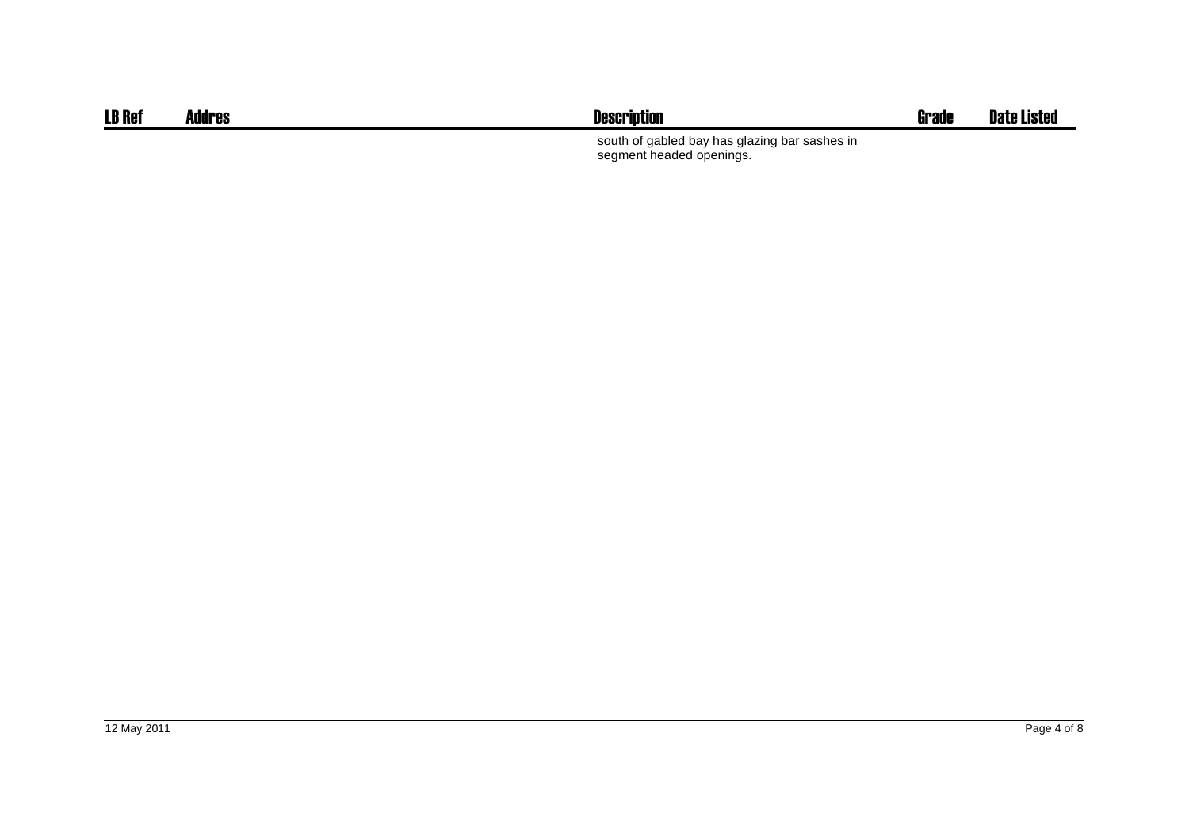| <b>LB Ref</b> | <b>Addres</b> | <b>Description</b>                                                        | Grade | <b>Date Listed</b> |
|---------------|---------------|---------------------------------------------------------------------------|-------|--------------------|
|               |               | south of gabled bay has glazing bar sashes in<br>segment headed openings. |       |                    |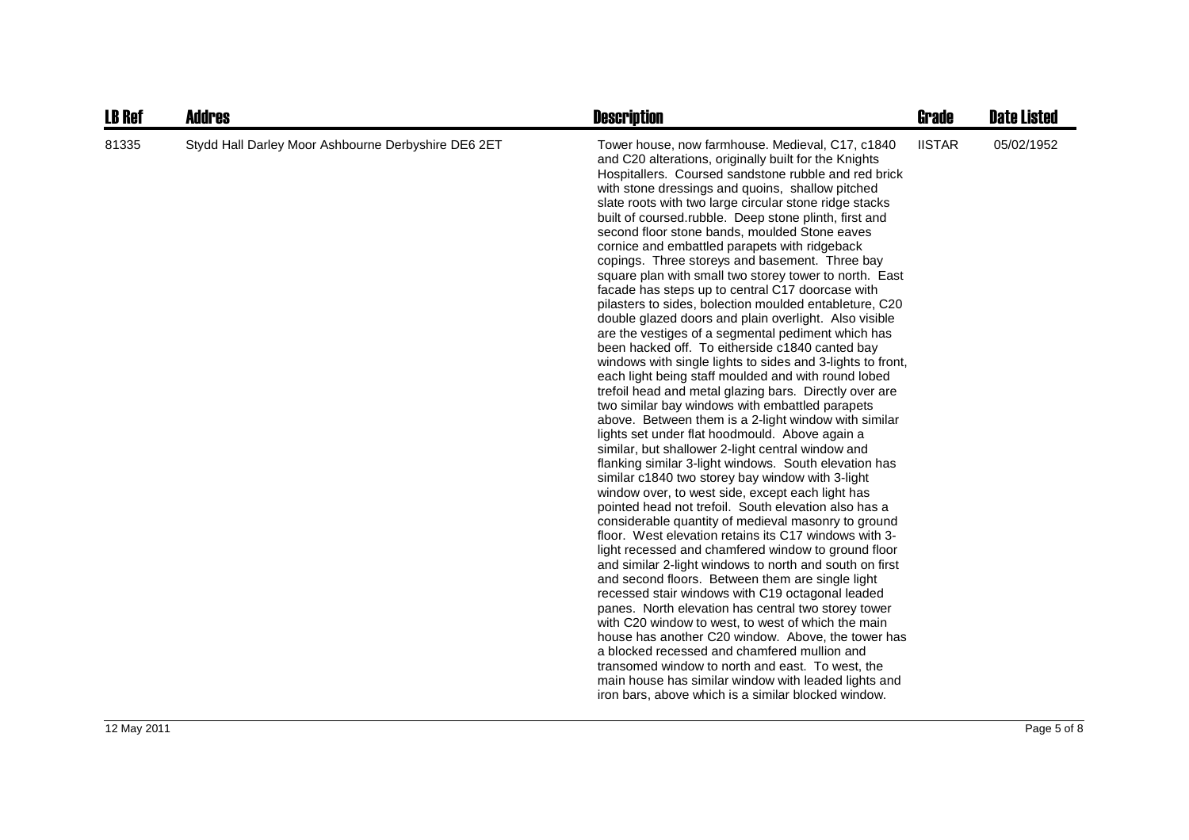| <b>LB Ref</b> | <b>Addres</b>                                       | <b>Description</b>                                                                                                                                                                                                                                                                                                                                                                                                                                                                                                                                                                                                                                                                                                                                                                                                                                                                                                                                                                                                                                                                                                                                                                                                                                                                                                                                                                                                                                                                                                                                                                                                                                                                                                                                                                                                                                                                                                                                                                                                                                                                                                                                                                               | <b>Grade</b>  | <b>Date Listed</b> |
|---------------|-----------------------------------------------------|--------------------------------------------------------------------------------------------------------------------------------------------------------------------------------------------------------------------------------------------------------------------------------------------------------------------------------------------------------------------------------------------------------------------------------------------------------------------------------------------------------------------------------------------------------------------------------------------------------------------------------------------------------------------------------------------------------------------------------------------------------------------------------------------------------------------------------------------------------------------------------------------------------------------------------------------------------------------------------------------------------------------------------------------------------------------------------------------------------------------------------------------------------------------------------------------------------------------------------------------------------------------------------------------------------------------------------------------------------------------------------------------------------------------------------------------------------------------------------------------------------------------------------------------------------------------------------------------------------------------------------------------------------------------------------------------------------------------------------------------------------------------------------------------------------------------------------------------------------------------------------------------------------------------------------------------------------------------------------------------------------------------------------------------------------------------------------------------------------------------------------------------------------------------------------------------------|---------------|--------------------|
| 81335         | Stydd Hall Darley Moor Ashbourne Derbyshire DE6 2ET | Tower house, now farmhouse. Medieval, C17, c1840<br>and C20 alterations, originally built for the Knights<br>Hospitallers. Coursed sandstone rubble and red brick<br>with stone dressings and quoins, shallow pitched<br>slate roots with two large circular stone ridge stacks<br>built of coursed rubble. Deep stone plinth, first and<br>second floor stone bands, moulded Stone eaves<br>cornice and embattled parapets with ridgeback<br>copings. Three storeys and basement. Three bay<br>square plan with small two storey tower to north. East<br>facade has steps up to central C17 doorcase with<br>pilasters to sides, bolection moulded entableture, C20<br>double glazed doors and plain overlight. Also visible<br>are the vestiges of a segmental pediment which has<br>been hacked off. To eitherside c1840 canted bay<br>windows with single lights to sides and 3-lights to front,<br>each light being staff moulded and with round lobed<br>trefoil head and metal glazing bars. Directly over are<br>two similar bay windows with embattled parapets<br>above. Between them is a 2-light window with similar<br>lights set under flat hoodmould. Above again a<br>similar, but shallower 2-light central window and<br>flanking similar 3-light windows. South elevation has<br>similar c1840 two storey bay window with 3-light<br>window over, to west side, except each light has<br>pointed head not trefoil. South elevation also has a<br>considerable quantity of medieval masonry to ground<br>floor. West elevation retains its C17 windows with 3-<br>light recessed and chamfered window to ground floor<br>and similar 2-light windows to north and south on first<br>and second floors. Between them are single light<br>recessed stair windows with C19 octagonal leaded<br>panes. North elevation has central two storey tower<br>with C20 window to west, to west of which the main<br>house has another C20 window. Above, the tower has<br>a blocked recessed and chamfered mullion and<br>transomed window to north and east. To west, the<br>main house has similar window with leaded lights and<br>iron bars, above which is a similar blocked window. | <b>IISTAR</b> | 05/02/1952         |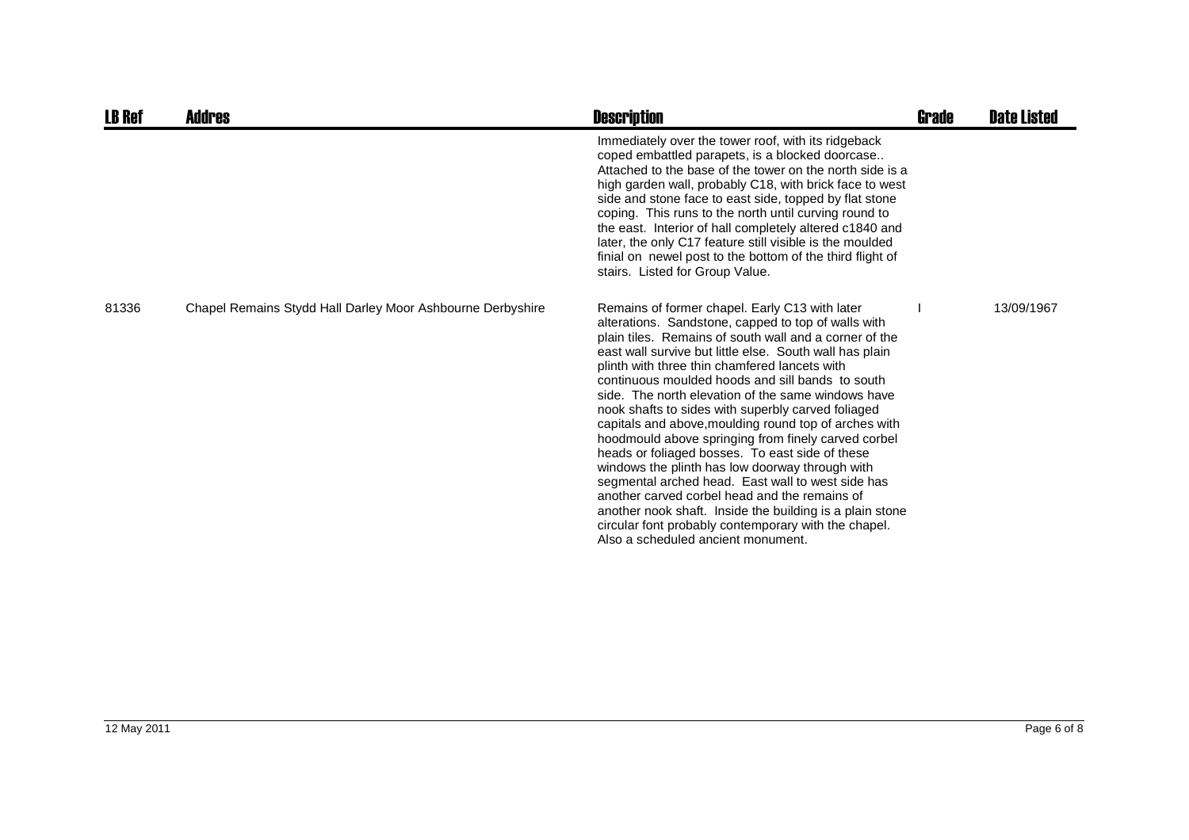| <b>LB Ref</b> | <b>Addres</b>                                              | <b>Description</b>                                                                                                                                                                                                                                                                                                                                                                                                                                                                                                                                                                                                                                                                                                                                                                                                                                                                                                                | Grade | <b>Date Listed</b> |
|---------------|------------------------------------------------------------|-----------------------------------------------------------------------------------------------------------------------------------------------------------------------------------------------------------------------------------------------------------------------------------------------------------------------------------------------------------------------------------------------------------------------------------------------------------------------------------------------------------------------------------------------------------------------------------------------------------------------------------------------------------------------------------------------------------------------------------------------------------------------------------------------------------------------------------------------------------------------------------------------------------------------------------|-------|--------------------|
|               |                                                            | Immediately over the tower roof, with its ridgeback<br>coped embattled parapets, is a blocked doorcase<br>Attached to the base of the tower on the north side is a<br>high garden wall, probably C18, with brick face to west<br>side and stone face to east side, topped by flat stone<br>coping. This runs to the north until curving round to<br>the east. Interior of hall completely altered c1840 and<br>later, the only C17 feature still visible is the moulded<br>finial on newel post to the bottom of the third flight of<br>stairs. Listed for Group Value.                                                                                                                                                                                                                                                                                                                                                           |       |                    |
| 81336         | Chapel Remains Stydd Hall Darley Moor Ashbourne Derbyshire | Remains of former chapel. Early C13 with later<br>alterations. Sandstone, capped to top of walls with<br>plain tiles. Remains of south wall and a corner of the<br>east wall survive but little else. South wall has plain<br>plinth with three thin chamfered lancets with<br>continuous moulded hoods and sill bands to south<br>side. The north elevation of the same windows have<br>nook shafts to sides with superbly carved foliaged<br>capitals and above, moulding round top of arches with<br>hoodmould above springing from finely carved corbel<br>heads or foliaged bosses. To east side of these<br>windows the plinth has low doorway through with<br>segmental arched head. East wall to west side has<br>another carved corbel head and the remains of<br>another nook shaft. Inside the building is a plain stone<br>circular font probably contemporary with the chapel.<br>Also a scheduled ancient monument. |       | 13/09/1967         |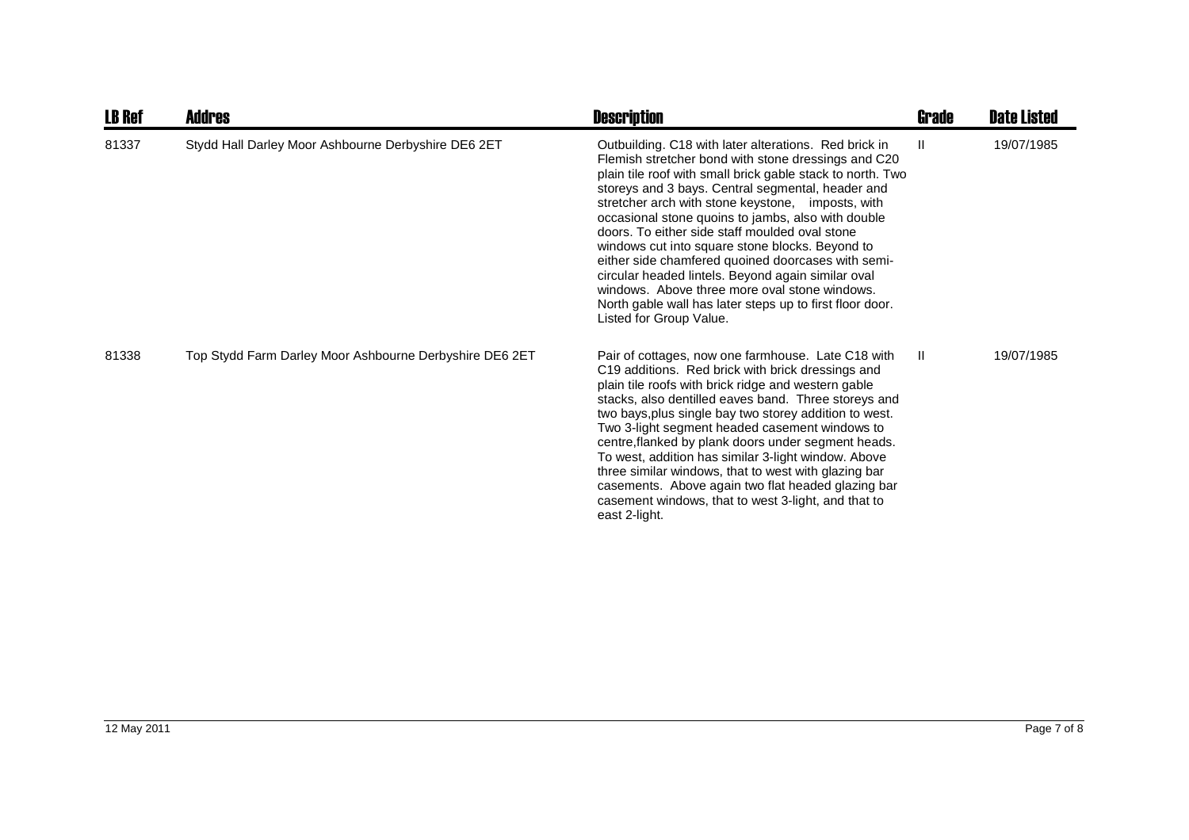| <b>LB Ref</b> | <b>Addres</b>                                           | <b>Description</b>                                                                                                                                                                                                                                                                                                                                                                                                                                                                                                                                                                                                                                                                                  | <b>Grade</b> | <b>Date Listed</b> |
|---------------|---------------------------------------------------------|-----------------------------------------------------------------------------------------------------------------------------------------------------------------------------------------------------------------------------------------------------------------------------------------------------------------------------------------------------------------------------------------------------------------------------------------------------------------------------------------------------------------------------------------------------------------------------------------------------------------------------------------------------------------------------------------------------|--------------|--------------------|
| 81337         | Stydd Hall Darley Moor Ashbourne Derbyshire DE6 2ET     | Outbuilding. C18 with later alterations. Red brick in<br>Flemish stretcher bond with stone dressings and C20<br>plain tile roof with small brick gable stack to north. Two<br>storeys and 3 bays. Central segmental, header and<br>stretcher arch with stone keystone, imposts, with<br>occasional stone quoins to jambs, also with double<br>doors. To either side staff moulded oval stone<br>windows cut into square stone blocks. Beyond to<br>either side chamfered quoined doorcases with semi-<br>circular headed lintels. Beyond again similar oval<br>windows. Above three more oval stone windows.<br>North gable wall has later steps up to first floor door.<br>Listed for Group Value. | $\mathbf{H}$ | 19/07/1985         |
| 81338         | Top Stydd Farm Darley Moor Ashbourne Derbyshire DE6 2ET | Pair of cottages, now one farmhouse. Late C18 with<br>C19 additions. Red brick with brick dressings and<br>plain tile roofs with brick ridge and western gable<br>stacks, also dentilled eaves band. Three storeys and<br>two bays, plus single bay two storey addition to west.<br>Two 3-light segment headed casement windows to<br>centre, flanked by plank doors under segment heads.<br>To west, addition has similar 3-light window. Above<br>three similar windows, that to west with glazing bar<br>casements. Above again two flat headed glazing bar<br>casement windows, that to west 3-light, and that to<br>east 2-light.                                                              | $\mathbf{I}$ | 19/07/1985         |